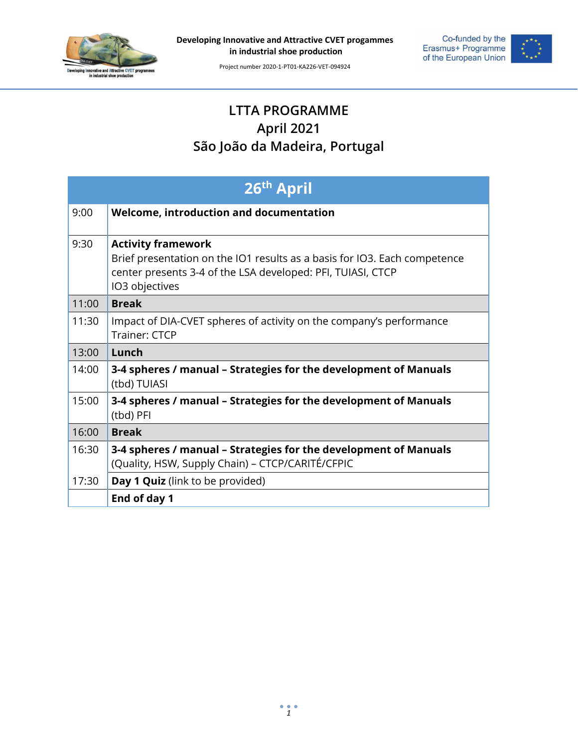

**Developing Innovative and Attractive CVET progammes in industrial shoe production**

Project number 2020-1-PT01-KA226-VET-094924

Co-funded by the<br>Erasmus+ Programme<br>of the European Union



## **LTTA PROGRAMME April 2021 São João da Madeira, Portugal**

| 26th April |                                                                                                                                                                                         |  |
|------------|-----------------------------------------------------------------------------------------------------------------------------------------------------------------------------------------|--|
| 9:00       | <b>Welcome, introduction and documentation</b>                                                                                                                                          |  |
| 9:30       | <b>Activity framework</b><br>Brief presentation on the IO1 results as a basis for IO3. Each competence<br>center presents 3-4 of the LSA developed: PFI, TUIASI, CTCP<br>IO3 objectives |  |
| 11:00      | <b>Break</b>                                                                                                                                                                            |  |
| 11:30      | Impact of DIA-CVET spheres of activity on the company's performance<br>Trainer: CTCP                                                                                                    |  |
| 13:00      | Lunch                                                                                                                                                                                   |  |
| 14:00      | 3-4 spheres / manual - Strategies for the development of Manuals<br>(tbd) TUIASI                                                                                                        |  |
| 15:00      | 3-4 spheres / manual - Strategies for the development of Manuals<br>(tbd) PFI                                                                                                           |  |
| 16:00      | <b>Break</b>                                                                                                                                                                            |  |
| 16:30      | 3-4 spheres / manual - Strategies for the development of Manuals<br>(Quality, HSW, Supply Chain) - CTCP/CARITÉ/CFPIC                                                                    |  |
| 17:30      | Day 1 Quiz (link to be provided)                                                                                                                                                        |  |
|            | End of day 1                                                                                                                                                                            |  |